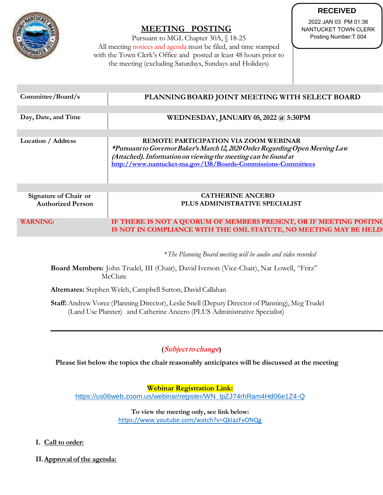

# **MEETING POSTING**

|                                                                                                                              |                                                                                                                                                                                                                                                           | <b>RECEIVED</b>                                                      |
|------------------------------------------------------------------------------------------------------------------------------|-----------------------------------------------------------------------------------------------------------------------------------------------------------------------------------------------------------------------------------------------------------|----------------------------------------------------------------------|
|                                                                                                                              | <b>MEETING POSTING</b><br>Pursuant to MGL Chapter 30A, § 18-25<br>All meeting notices and agenda must be filed, and time stamped                                                                                                                          | 2022 JAN 03 PM 01:36<br>NANTUCKET TOWN CLERK<br>Posting Number: T004 |
|                                                                                                                              | with the Town Clerk's Office and posted at least 48 hours prior to<br>the meeting (excluding Saturdays, Sundays and Holidays)                                                                                                                             |                                                                      |
| Committee/Board/s                                                                                                            | PLANNING BOARD JOINT MEETING WITH SELECT BOARD                                                                                                                                                                                                            |                                                                      |
| Day, Date, and Time                                                                                                          | <b>WEDNESDAY, JANUARY 05, 2022 @ 5:30PM</b>                                                                                                                                                                                                               |                                                                      |
| Location / Address                                                                                                           | REMOTE PARTICIPATION VIA ZOOM WEBINAR<br>*Pursuant to Governor Baker's March 12, 2020 Order Regarding Open Meeting Law<br>(Attached). Information on viewing the meeting can be found at<br>http://www.nantucket-ma.gov/138/Boards-Commissions-Committees |                                                                      |
| Signature of Chair or<br><b>Authorized Person</b>                                                                            | <b>CATHERINE ANCERO</b><br>PLUS ADMINISTRATIVE SPECIALIST                                                                                                                                                                                                 |                                                                      |
| <b>WARNING:</b>                                                                                                              | IF THERE IS NOT A QUORUM OF MEMBERS PRESENT, OR IF MEETING POSTING<br>IS NOT IN COMPLIANCE WITH THE OML STATUTE, NO MEETING MAY BE HELD                                                                                                                   |                                                                      |
|                                                                                                                              | *The Planning Board meeting will be audio and video recorded                                                                                                                                                                                              |                                                                      |
| Board Members: John Trudel, III (Chair), David Iverson (Vice-Chair), Nat Lowell, "Fritz"<br>McClure                          |                                                                                                                                                                                                                                                           |                                                                      |
|                                                                                                                              | Alternates: Stephen Welch, Campbell Sutton, David Callahan                                                                                                                                                                                                |                                                                      |
|                                                                                                                              | Staff: Andrew Vorce (Planning Director), Leslie Snell (Deputy Director of Planning), Meg Trudel<br>(Land Use Planner) and Catherine Ancero (PLUS Administrative Specialist)                                                                               |                                                                      |
| <i>(Subject to change)</i><br>Please list below the topics the chair reasonably anticipates will be discussed at the meeting |                                                                                                                                                                                                                                                           |                                                                      |
|                                                                                                                              | <b>Webinar Registration Link:</b><br>https://us06web.zoom.us/webinar/register/WN_lpZJ74rhRam4Hd06e1Z4-Q                                                                                                                                                   |                                                                      |
| To view the meeting only, see link below:<br>https://www.youtube.com/watch?v=QklazFvONQg                                     |                                                                                                                                                                                                                                                           |                                                                      |
| I. Call to order:                                                                                                            |                                                                                                                                                                                                                                                           |                                                                      |
| II. Approval of the agenda:                                                                                                  |                                                                                                                                                                                                                                                           |                                                                      |

## **(Subject to change)**

- **I. Call to order:**
-